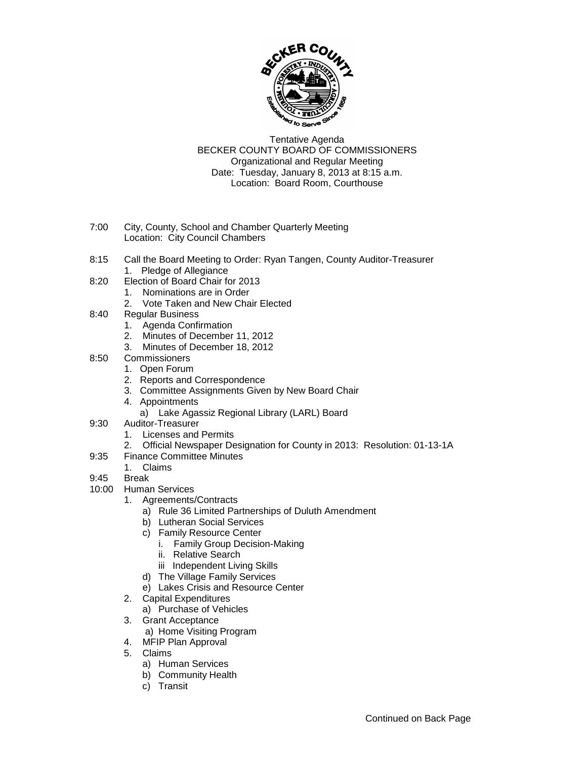

Tentative Agenda BECKER COUNTY BOARD OF COMMISSIONERS Organizational and Regular Meeting Date: Tuesday, January 8, 2013 at 8:15 a.m. Location: Board Room, Courthouse

- 7:00 City, County, School and Chamber Quarterly Meeting Location: City Council Chambers
- 8:15 Call the Board Meeting to Order: Ryan Tangen, County Auditor-Treasurer 1. Pledge of Allegiance
- 8:20 Election of Board Chair for 2013
	- 1. Nominations are in Order
	- 2. Vote Taken and New Chair Elected
- 8:40 Regular Business
	- 1. Agenda Confirmation
	- 2. Minutes of December 11, 2012
	- 3. Minutes of December 18, 2012
- 8:50 Commissioners
	- 1. Open Forum
	- 2. Reports and Correspondence
	- 3. Committee Assignments Given by New Board Chair
	- 4. Appointments
		- a) Lake Agassiz Regional Library (LARL) Board
- 9:30 Auditor-Treasurer
	- 1. Licenses and Permits
	- 2. Official Newspaper Designation for County in 2013: Resolution: 01-13-1A
- 9:35 Finance Committee Minutes
	- 1. Claims
- 9:45 Break
- 10:00 Human Services
	- 1. Agreements/Contracts
		- a) Rule 36 Limited Partnerships of Duluth Amendment
		- b) Lutheran Social Services
		- c) Family Resource Center
			- i. Family Group Decision-Making
			- ii. Relative Search
			- iii Independent Living Skills
		- d) The Village Family Services
		- e) Lakes Crisis and Resource Center
	- 2. Capital Expenditures
		- a) Purchase of Vehicles
	- 3. Grant Acceptance
		- a) Home Visiting Program
	- 4. MFIP Plan Approval
	- 5. Claims
		- a) Human Services
		- b) Community Health
		- c) Transit